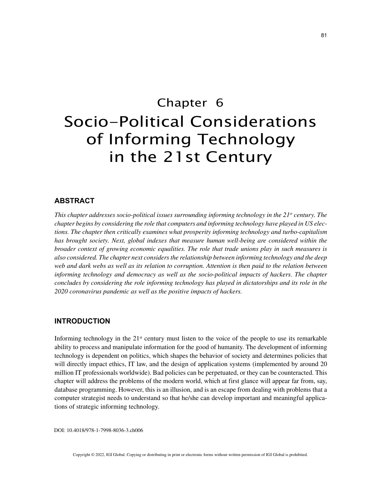# Chapter 6 Socio-Political Considerations of Informing Technology in the 21st Century

## **ABSTRACT**

*This chapter addresses socio-political issues surrounding informing technology in the 21<sup>st</sup> century. The chapter begins by considering the role that computers and informing technology have played in US elections. The chapter then critically examines what prosperity informing technology and turbo-capitalism has brought society. Next, global indexes that measure human well-being are considered within the broader context of growing economic equalities. The role that trade unions play in such measures is also considered. The chapter next considers the relationship between informing technology and the deep web and dark webs as well as its relation to corruption. Attention is then paid to the relation between informing technology and democracy as well as the socio-political impacts of hackers. The chapter concludes by considering the role informing technology has played in dictatorships and its role in the 2020 coronavirus pandemic as well as the positive impacts of hackers.*

## **INTRODUCTION**

Informing technology in the  $21<sup>st</sup>$  century must listen to the voice of the people to use its remarkable ability to process and manipulate information for the good of humanity. The development of informing technology is dependent on politics, which shapes the behavior of society and determines policies that will directly impact ethics, IT law, and the design of application systems (implemented by around 20 million IT professionals worldwide). Bad policies can be perpetuated, or they can be counteracted. This chapter will address the problems of the modern world, which at first glance will appear far from, say, database programming. However, this is an illusion, and is an escape from dealing with problems that a computer strategist needs to understand so that he/she can develop important and meaningful applications of strategic informing technology.

DOI: 10.4018/978-1-7998-8036-3.ch006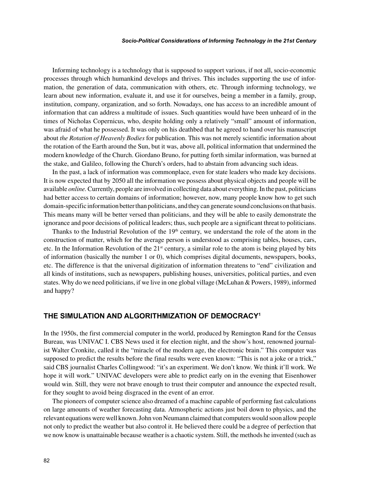Informing technology is a technology that is supposed to support various, if not all, socio-economic processes through which humankind develops and thrives. This includes supporting the use of information, the generation of data, communication with others, etc. Through informing technology, we learn about new information, evaluate it, and use it for ourselves, being a member in a family, group, institution, company, organization, and so forth. Nowadays, one has access to an incredible amount of information that can address a multitude of issues. Such quantities would have been unheard of in the times of Nicholas Copernicus, who, despite holding only a relatively "small" amount of information, was afraid of what he possessed. It was only on his deathbed that he agreed to hand over his manuscript about *the Rotation of Heavenly Bodies* for publication. This was not merely scientific information about the rotation of the Earth around the Sun, but it was, above all, political information that undermined the modern knowledge of the Church. Giordano Bruno, for putting forth similar information, was burned at the stake, and Galileo, following the Church's orders, had to abstain from advancing such ideas.

In the past, a lack of information was commonplace, even for state leaders who made key decisions. It is now expected that by 2050 all the information we possess about physical objects and people will be available *online.* Currently, people are involved in collecting data about everything. In the past, politicians had better access to certain domains of information; however, now, many people know how to get such domain-specific information better than politicians, and they can generate sound conclusions on that basis. This means many will be better versed than politicians, and they will be able to easily demonstrate the ignorance and poor decisions of political leaders; thus, such people are a significant threat to politicians.

Thanks to the Industrial Revolution of the  $19<sup>th</sup>$  century, we understand the role of the atom in the construction of matter, which for the average person is understood as comprising tables, houses, cars, etc. In the Information Revolution of the  $21<sup>st</sup>$  century, a similar role to the atom is being played by bits of information (basically the number 1 or 0), which comprises digital documents, newspapers, books, etc. The difference is that the universal digitization of information threatens to "end" civilization and all kinds of institutions, such as newspapers, publishing houses, universities, political parties, and even states. Why do we need politicians, if we live in one global village (McLuhan & Powers, 1989), informed and happy?

## **THE SIMULATION AND ALGORITHMIZATION OF DEMOCRACY1**

In the 1950s, the first commercial computer in the world, produced by Remington Rand for the Census Bureau, was UNIVAC I. CBS News used it for election night, and the show's host, renowned journalist Walter Cronkite, called it the "miracle of the modern age, the electronic brain." This computer was supposed to predict the results before the final results were even known: "This is not a joke or a trick," said CBS journalist Charles Collingwood: "it's an experiment. We don't know. We think it'll work. We hope it will work." UNIVAC developers were able to predict early on in the evening that Eisenhower would win. Still, they were not brave enough to trust their computer and announce the expected result, for they sought to avoid being disgraced in the event of an error.

The pioneers of computer science also dreamed of a machine capable of performing fast calculations on large amounts of weather forecasting data. Atmospheric actions just boil down to physics, and the relevant equations were well known. John von Neumann claimed that computers would soon allow people not only to predict the weather but also control it. He believed there could be a degree of perfection that we now know is unattainable because weather is a chaotic system. Still, the methods he invented (such as